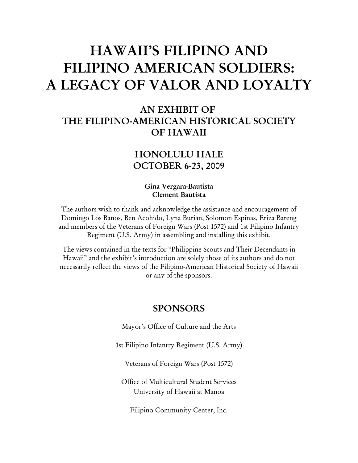# HAWAII'S FILIPINO AND FILIPINO AMERICAN SOLDIERS: A LEGACY OF VALOR AND LOYALTY

## AN EXHIBIT OF THE FILIPINO-AMERICAN HISTORICAL SOCIETY OF HAWAII

### HONOLULU HALE OCTOBER 6-23, 2009

#### Gina Vergara-Bautista Clement Bautista

The authors wish to thank and acknowledge the assistance and encouragement of Domingo Los Banos, Ben Acohido, Lyna Burian, Solomon Espinas, Eriza Bareng and members of the Veterans of Foreign Wars (Post 1572) and 1st Filipino Infantry Regiment (U.S. Army) in assembling and installing this exhibit.

The views contained in the texts for "Philippine Scouts and Their Decendants in Hawaii" and the exhibit's introduction are solely those of its authors and do not necessarily reflect the views of the Filipino-American Historical Society of Hawaii or any of the sponsors.

#### SPONSORS

Mayor's Office of Culture and the Arts

1st Filipino Infantry Regiment (U.S. Army)

Veterans of Foreign Wars (Post 1572)

Office of Multicultural Student Services University of Hawaii at Manoa

Filipino Community Center, Inc.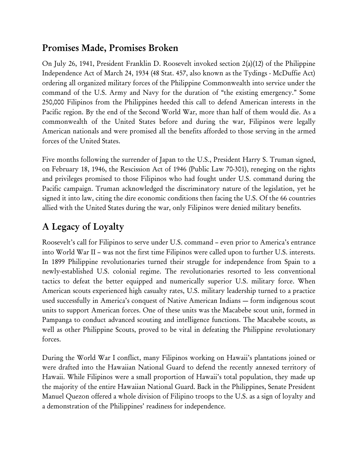# Promises Made, Promises Broken

On July 26, 1941, President Franklin D. Roosevelt invoked section  $2(a)(12)$  of the Philippine Independence Act of March 24, 1934 (48 Stat. 457, also known as the Tydings - McDuffie Act) ordering all organized military forces of the Philippine Commonwealth into service under the command of the U.S. Army and Navy for the duration of "the existing emergency." Some 250,000 Filipinos from the Philippines heeded this call to defend American interests in the Pacific region. By the end of the Second World War, more than half of them would die. As a commonwealth of the United States before and during the war, Filipinos were legally American nationals and were promised all the benefits afforded to those serving in the armed forces of the United States.

Five months following the surrender of Japan to the U.S., President Harry S. Truman signed, on February 18, 1946, the Rescission Act of 1946 (Public Law 70-301), reneging on the rights and privileges promised to those Filipinos who had fought under U.S. command during the Pacific campaign. Truman acknowledged the discriminatory nature of the legislation, yet he signed it into law, citing the dire economic conditions then facing the U.S. Of the 66 countries allied with the United States during the war, only Filipinos were denied military benefits.

# A Legacy of Loyalty

Roosevelt's call for Filipinos to serve under U.S. command – even prior to America's entrance into World War II – was not the first time Filipinos were called upon to further U.S. interests. In 1899 Philippine revolutionaries turned their struggle for independence from Spain to a newly-established U.S. colonial regime. The revolutionaries resorted to less conventional tactics to defeat the better equipped and numerically superior U.S. military force. When American scouts experienced high casualty rates, U.S. military leadership turned to a practice used successfully in America's conquest of Native American Indians — form indigenous scout units to support American forces. One of these units was the Macabebe scout unit, formed in Pampanga to conduct advanced scouting and intelligence functions. The Macabebe scouts, as well as other Philippine Scouts, proved to be vital in defeating the Philippine revolutionary forces.

During the World War I conflict, many Filipinos working on Hawaii's plantations joined or were drafted into the Hawaiian National Guard to defend the recently annexed territory of Hawaii. While Filipinos were a small proportion of Hawaii's total population, they made up the majority of the entire Hawaiian National Guard. Back in the Philippines, Senate President Manuel Quezon offered a whole division of Filipino troops to the U.S. as a sign of loyalty and a demonstration of the Philippines' readiness for independence.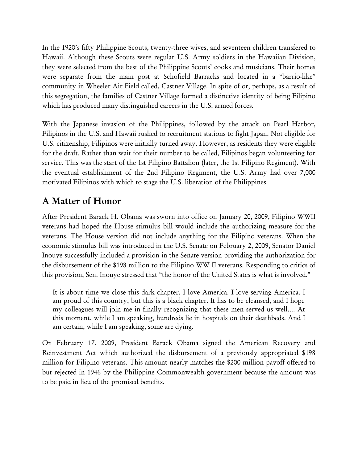In the 1920's fifty Philippine Scouts, twenty-three wives, and seventeen children transfered to Hawaii. Although these Scouts were regular U.S. Army soldiers in the Hawaiian Division, they were selected from the best of the Philippine Scouts' cooks and musicians. Their homes were separate from the main post at Schofield Barracks and located in a "barrio-like" community in Wheeler Air Field called, Castner Village. In spite of or, perhaps, as a result of this segregation, the families of Castner Village formed a distinctive identity of being Filipino which has produced many distinguished careers in the U.S. armed forces.

With the Japanese invasion of the Philippines, followed by the attack on Pearl Harbor, Filipinos in the U.S. and Hawaii rushed to recruitment stations to fight Japan. Not eligible for U.S. citizenship, Filipinos were initially turned away. However, as residents they were eligible for the draft. Rather than wait for their number to be called, Filipinos began volunteering for service. This was the start of the 1st Filipino Battalion (later, the 1st Filipino Regiment). With the eventual establishment of the 2nd Filipino Regiment, the U.S. Army had over 7,000 motivated Filipinos with which to stage the U.S. liberation of the Philippines.

## A Matter of Honor

After President Barack H. Obama was sworn into office on January 20, 2009, Filipino WWII veterans had hoped the House stimulus bill would include the authorizing measure for the veterans. The House version did not include anything for the Filipino veterans. When the economic stimulus bill was introduced in the U.S. Senate on February 2, 2009, Senator Daniel Inouye successfully included a provision in the Senate version providing the authorization for the disbursement of the \$198 million to the Filipino WW II veterans. Responding to critics of this provision, Sen. Inouye stressed that "the honor of the United States is what is involved."

It is about time we close this dark chapter. I love America. I love serving America. I am proud of this country, but this is a black chapter. It has to be cleansed, and I hope my colleagues will join me in finally recognizing that these men served us well.… At this moment, while I am speaking, hundreds lie in hospitals on their deathbeds. And I am certain, while I am speaking, some are dying.

On February 17, 2009, President Barack Obama signed the American Recovery and Reinvestment Act which authorized the disbursement of a previously appropriated \$198 million for Filipino veterans. This amount nearly matches the \$200 million payoff offered to but rejected in 1946 by the Philippine Commonwealth government because the amount was to be paid in lieu of the promised benefits.